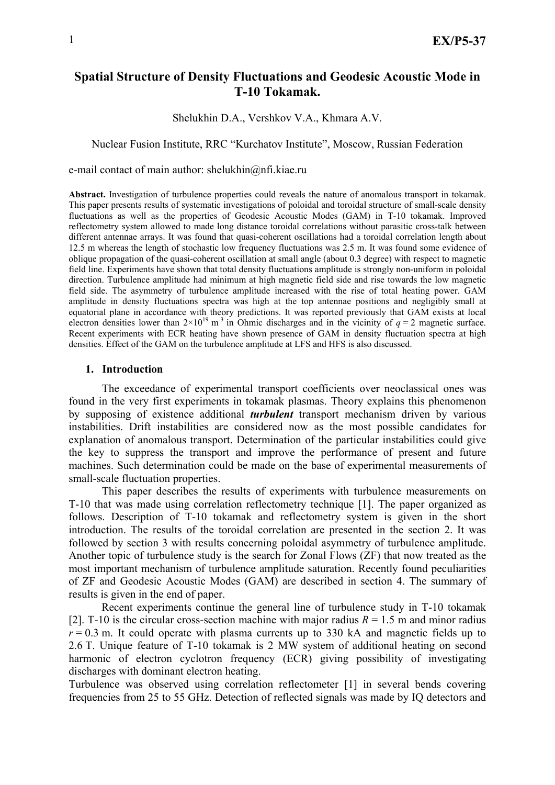# **Spatial Structure of Density Fluctuations and Geodesic Acoustic Mode in T-10 Tokamak.**

Shelukhin D.A., Vershkov V.A., Khmara A.V.

#### Nuclear Fusion Institute, RRC "Kurchatov Institute", Moscow, Russian Federation

e-mail contact of main author: shelukhin@nfi.kiae.ru

**Abstract.** Investigation of turbulence properties could reveals the nature of anomalous transport in tokamak. This paper presents results of systematic investigations of poloidal and toroidal structure of small-scale density fluctuations as well as the properties of Geodesic Acoustic Modes (GAM) in T-10 tokamak. Improved reflectometry system allowed to made long distance toroidal correlations without parasitic cross-talk between different antennae arrays. It was found that quasi-coherent oscillations had a toroidal correlation length about 12.5 m whereas the length of stochastic low frequency fluctuations was 2.5 m. It was found some evidence of oblique propagation of the quasi-coherent oscillation at small angle (about 0.3 degree) with respect to magnetic field line. Experiments have shown that total density fluctuations amplitude is strongly non-uniform in poloidal direction. Turbulence amplitude had minimum at high magnetic field side and rise towards the low magnetic field side. The asymmetry of turbulence amplitude increased with the rise of total heating power. GAM amplitude in density fluctuations spectra was high at the top antennae positions and negligibly small at equatorial plane in accordance with theory predictions. It was reported previously that GAM exists at local electron densities lower than  $2\times10^{19}$  m<sup>-3</sup> in Ohmic discharges and in the vicinity of  $q = 2$  magnetic surface. Recent experiments with ECR heating have shown presence of GAM in density fluctuation spectra at high densities. Effect of the GAM on the turbulence amplitude at LFS and HFS is also discussed.

## **1. Introduction**

The exceedance of experimental transport coefficients over neoclassical ones was found in the very first experiments in tokamak plasmas. Theory explains this phenomenon by supposing of existence additional *turbulent* transport mechanism driven by various instabilities. Drift instabilities are considered now as the most possible candidates for explanation of anomalous transport. Determination of the particular instabilities could give the key to suppress the transport and improve the performance of present and future machines. Such determination could be made on the base of experimental measurements of small-scale fluctuation properties.

This paper describes the results of experiments with turbulence measurements on T-10 that was made using correlation reflectometry technique [1]. The paper organized as follows. Description of T-10 tokamak and reflectometry system is given in the short introduction. The results of the toroidal correlation are presented in the section 2. It was followed by section 3 with results concerning poloidal asymmetry of turbulence amplitude. Another topic of turbulence study is the search for Zonal Flows (ZF) that now treated as the most important mechanism of turbulence amplitude saturation. Recently found peculiarities of ZF and Geodesic Acoustic Modes (GAM) are described in section 4. The summary of results is given in the end of paper.

 Recent experiments continue the general line of turbulence study in T-10 tokamak [2]. T-10 is the circular cross-section machine with major radius  $R = 1.5$  m and minor radius  $r = 0.3$  m. It could operate with plasma currents up to 330 kA and magnetic fields up to 2.6 T. Unique feature of T-10 tokamak is 2 MW system of additional heating on second harmonic of electron cyclotron frequency (ECR) giving possibility of investigating discharges with dominant electron heating.

Turbulence was observed using correlation reflectometer [1] in several bends covering frequencies from 25 to 55 GHz. Detection of reflected signals was made by IQ detectors and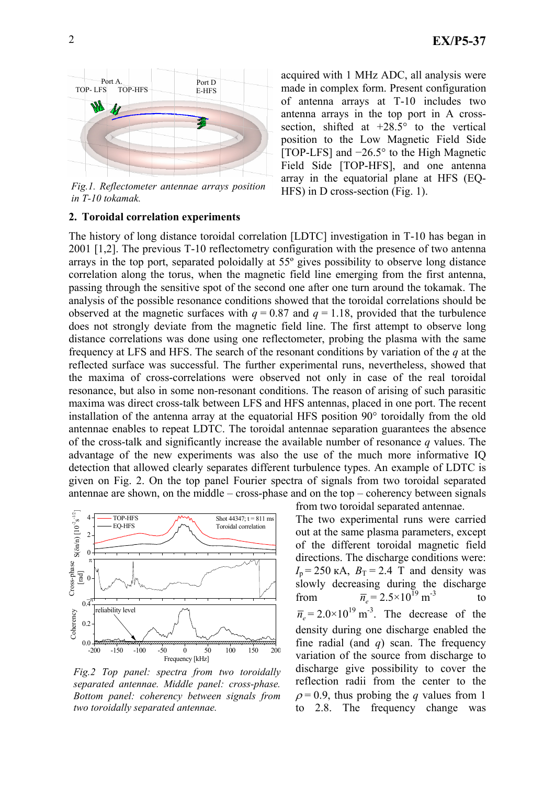

*Fig.1. Reflectometer antennae arrays position in T-10 tokamak.* 

## **2. Toroidal correlation experiments**

acquired with 1 MHz ADC, all analysis were made in complex form. Present configuration of antenna arrays at T-10 includes two antenna arrays in the top port in A crosssection, shifted at  $+28.5^{\circ}$  to the vertical position to the Low Magnetic Field Side [TOP-LFS] and −26.5° to the High Magnetic Field Side [TOP-HFS], and one antenna array in the equatorial plane at HFS (EQ-HFS) in D cross-section (Fig. 1).

The history of long distance toroidal correlation [LDTC] investigation in T-10 has began in 2001 [1,2]. The previous T-10 reflectometry configuration with the presence of two antenna arrays in the top port, separated poloidally at 55º gives possibility to observe long distance correlation along the torus, when the magnetic field line emerging from the first antenna, passing through the sensitive spot of the second one after one turn around the tokamak. The analysis of the possible resonance conditions showed that the toroidal correlations should be observed at the magnetic surfaces with  $q = 0.87$  and  $q = 1.18$ , provided that the turbulence does not strongly deviate from the magnetic field line. The first attempt to observe long distance correlations was done using one reflectometer, probing the plasma with the same frequency at LFS and HFS. The search of the resonant conditions by variation of the *q* at the reflected surface was successful. The further experimental runs, nevertheless, showed that the maxima of cross-correlations were observed not only in case of the real toroidal resonance, but also in some non-resonant conditions. The reason of arising of such parasitic maxima was direct cross-talk between LFS and HFS antennas, placed in one port. The recent installation of the antenna array at the equatorial HFS position 90° toroidally from the old antennae enables to repeat LDTC. The toroidal antennae separation guarantees the absence of the cross-talk and significantly increase the available number of resonance *q* values. The advantage of the new experiments was also the use of the much more informative IQ detection that allowed clearly separates different turbulence types. An example of LDTC is given on Fig. 2. On the top panel Fourier spectra of signals from two toroidal separated antennae are shown, on the middle – cross-phase and on the top – coherency between signals



*Fig.2 Top panel: spectra from two toroidally separated antennae. Middle panel: cross-phase. Bottom panel: coherency between signals from two toroidally separated antennae.* 

from two toroidal separated antennae. The two experimental runs were carried out at the same plasma parameters, except of the different toroidal magnetic field directions. The discharge conditions were:  $I_p = 250 \text{ kA}, B_T = 2.4 \text{ T}$  and density was slowly decreasing during the discharge from  $\overline{n}_e = 2.5 \times 10^{19} \text{ m}^{-3}$  to  $\overline{n}_e$  = 2.0×10<sup>19</sup> m<sup>-3</sup>. The decrease of the density during one discharge enabled the fine radial (and *q*) scan. The frequency variation of the source from discharge to discharge give possibility to cover the reflection radii from the center to the  $\rho = 0.9$ , thus probing the *q* values from 1 to 2.8. The frequency change was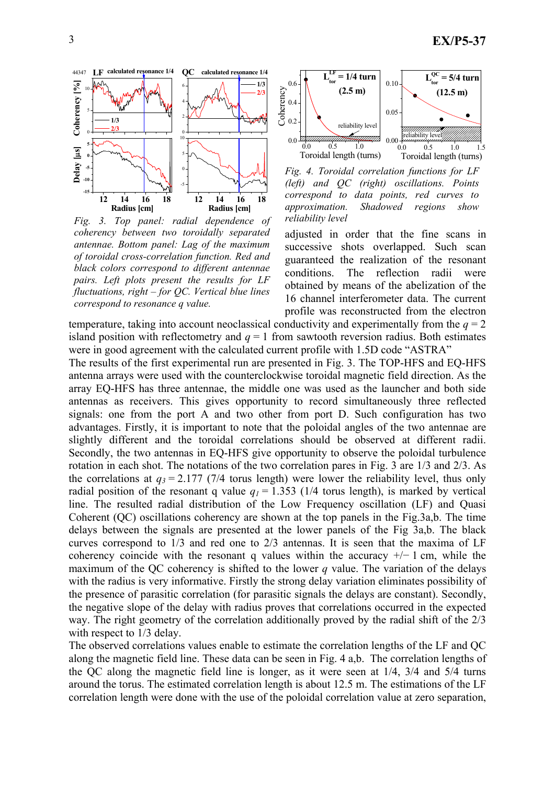

*Fig. 3. Top panel: radial dependence of coherency between two toroidally separated antennae. Bottom panel: Lag of the maximum of toroidal cross-correlation function. Red and black colors correspond to different antennae pairs. Left plots present the results for LF fluctuations, right – for QC. Vertical blue lines correspond to resonance q value.* 



*Fig. 4. Toroidal correlation functions for LF (left) and QC (right) oscillations. Points correspond to data points, red curves to approximation. Shadowed regions show reliability level* 

adjusted in order that the fine scans in successive shots overlapped. Such scan guaranteed the realization of the resonant conditions. The reflection radii were obtained by means of the abelization of the 16 channel interferometer data. The current profile was reconstructed from the electron

temperature, taking into account neoclassical conductivity and experimentally from the  $q = 2$ island position with reflectometry and  $q = 1$  from sawtooth reversion radius. Both estimates were in good agreement with the calculated current profile with 1.5D code "ASTRA"

The results of the first experimental run are presented in Fig. 3. The TOP-HFS and EQ-HFS antenna arrays were used with the counterclockwise toroidal magnetic field direction. As the array EQ-HFS has three antennae, the middle one was used as the launcher and both side antennas as receivers. This gives opportunity to record simultaneously three reflected signals: one from the port A and two other from port D. Such configuration has two advantages. Firstly, it is important to note that the poloidal angles of the two antennae are slightly different and the toroidal correlations should be observed at different radii. Secondly, the two antennas in EQ-HFS give opportunity to observe the poloidal turbulence rotation in each shot. The notations of the two correlation pares in Fig. 3 are 1/3 and 2/3. As the correlations at  $q_3 = 2.177$  (7/4 torus length) were lower the reliability level, thus only radial position of the resonant q value  $q_1 = 1.353$  (1/4 torus length), is marked by vertical line. The resulted radial distribution of the Low Frequency oscillation (LF) and Quasi Coherent (QC) oscillations coherency are shown at the top panels in the Fig.3a,b. The time delays between the signals are presented at the lower panels of the Fig 3a,b. The black curves correspond to 1/3 and red one to 2/3 antennas. It is seen that the maxima of LF coherency coincide with the resonant q values within the accuracy  $+/- 1$  cm, while the maximum of the QC coherency is shifted to the lower *q* value. The variation of the delays with the radius is very informative. Firstly the strong delay variation eliminates possibility of the presence of parasitic correlation (for parasitic signals the delays are constant). Secondly, the negative slope of the delay with radius proves that correlations occurred in the expected way. The right geometry of the correlation additionally proved by the radial shift of the 2/3 with respect to 1/3 delay.

The observed correlations values enable to estimate the correlation lengths of the LF and QC along the magnetic field line. These data can be seen in Fig. 4 a,b. The correlation lengths of the QC along the magnetic field line is longer, as it were seen at 1/4, 3/4 and 5/4 turns around the torus. The estimated correlation length is about 12.5 m. The estimations of the LF correlation length were done with the use of the poloidal correlation value at zero separation,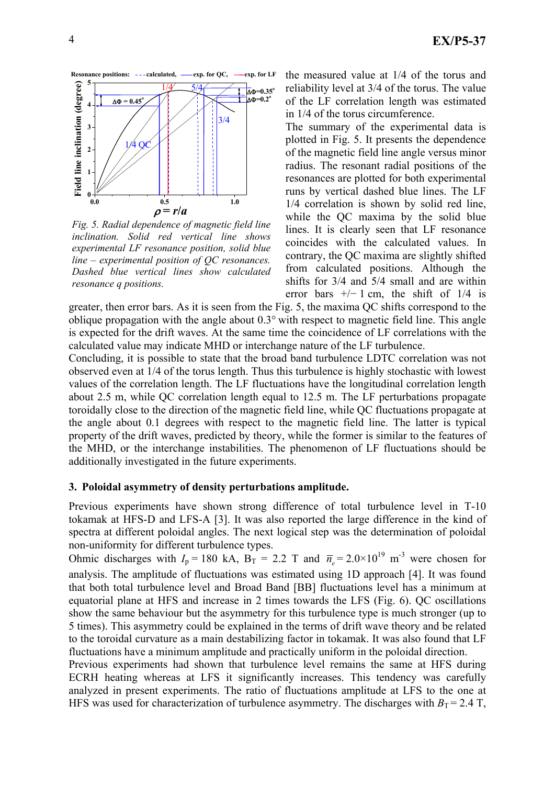

*Fig. 5. Radial dependence of magnetic field line inclination. Solid red vertical line shows experimental LF resonance position, solid blue line – experimental position of QC resonances. Dashed blue vertical lines show calculated resonance q positions.* 

the measured value at 1/4 of the torus and reliability level at 3/4 of the torus. The value of the LF correlation length was estimated in 1/4 of the torus circumference.

The summary of the experimental data is plotted in Fig. 5. It presents the dependence of the magnetic field line angle versus minor radius. The resonant radial positions of the resonances are plotted for both experimental runs by vertical dashed blue lines. The LF 1/4 correlation is shown by solid red line, while the QC maxima by the solid blue lines. It is clearly seen that LF resonance coincides with the calculated values. In contrary, the QC maxima are slightly shifted from calculated positions. Although the shifts for 3/4 and 5/4 small and are within error bars  $+/- 1$  cm, the shift of 1/4 is

greater, then error bars. As it is seen from the Fig. 5, the maxima QC shifts correspond to the oblique propagation with the angle about 0.3° with respect to magnetic field line. This angle is expected for the drift waves. At the same time the coincidence of LF correlations with the calculated value may indicate MHD or interchange nature of the LF turbulence.

Concluding, it is possible to state that the broad band turbulence LDTC correlation was not observed even at 1/4 of the torus length. Thus this turbulence is highly stochastic with lowest values of the correlation length. The LF fluctuations have the longitudinal correlation length about 2.5 m, while QC correlation length equal to 12.5 m. The LF perturbations propagate toroidally close to the direction of the magnetic field line, while QC fluctuations propagate at the angle about 0.1 degrees with respect to the magnetic field line. The latter is typical property of the drift waves, predicted by theory, while the former is similar to the features of the MHD, or the interchange instabilities. The phenomenon of LF fluctuations should be additionally investigated in the future experiments.

#### **3. Poloidal asymmetry of density perturbations amplitude.**

Previous experiments have shown strong difference of total turbulence level in T-10 tokamak at HFS-D and LFS-A [3]. It was also reported the large difference in the kind of spectra at different poloidal angles. The next logical step was the determination of poloidal non-uniformity for different turbulence types.

Ohmic discharges with  $I_p = 180$  kA,  $B_T = 2.2$  T and  $\bar{n}_e = 2.0 \times 10^{19}$  m<sup>-3</sup> were chosen for analysis. The amplitude of fluctuations was estimated using 1D approach [4]. It was found that both total turbulence level and Broad Band [BB] fluctuations level has a minimum at equatorial plane at HFS and increase in 2 times towards the LFS (Fig. 6). QC oscillations show the same behaviour but the asymmetry for this turbulence type is much stronger (up to 5 times). This asymmetry could be explained in the terms of drift wave theory and be related to the toroidal curvature as a main destabilizing factor in tokamak. It was also found that LF fluctuations have a minimum amplitude and practically uniform in the poloidal direction.

Previous experiments had shown that turbulence level remains the same at HFS during ECRH heating whereas at LFS it significantly increases. This tendency was carefully analyzed in present experiments. The ratio of fluctuations amplitude at LFS to the one at HFS was used for characterization of turbulence asymmetry. The discharges with  $B_T = 2.4$  T,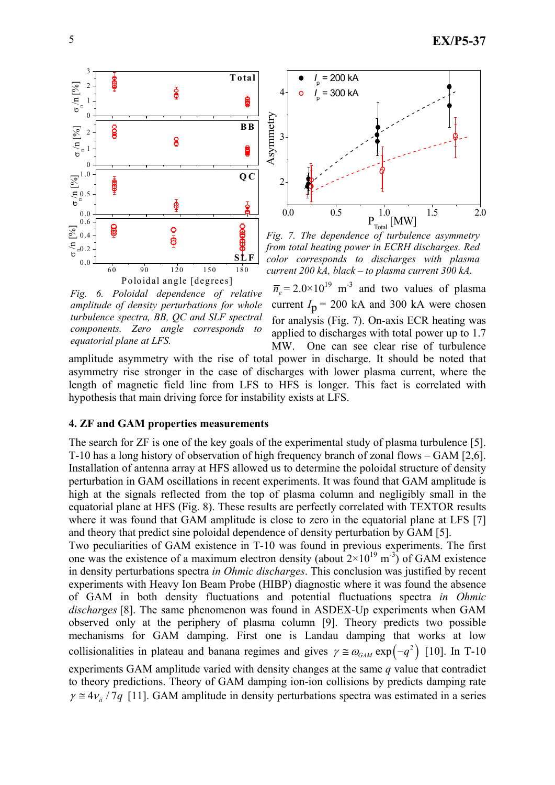

*Fig. 6. Poloidal dependence of relative amplitude of density perturbations for whole turbulence spectra, BB, QC and SLF spectral components. Zero angle corresponds to equatorial plane at LFS.* 



*Fig. 7. The dependence of turbulence asymmetry from total heating power in ECRH discharges. Red color corresponds to discharges with plasma current 200 kA, black – to plasma current 300 kA.* 

 $\overline{n}_e$  = 2.0×10<sup>19</sup> m<sup>-3</sup> and two values of plasma current  $I_p = 200$  kA and 300 kA were chosen for analysis (Fig. 7). On-axis ECR heating was applied to discharges with total power up to 1.7 MW. One can see clear rise of turbulence

amplitude asymmetry with the rise of total power in discharge. It should be noted that asymmetry rise stronger in the case of discharges with lower plasma current, where the length of magnetic field line from LFS to HFS is longer. This fact is correlated with hypothesis that main driving force for instability exists at LFS.

# **4. ZF and GAM properties measurements**

The search for ZF is one of the key goals of the experimental study of plasma turbulence [5]. T-10 has a long history of observation of high frequency branch of zonal flows – GAM [2,6]. Installation of antenna array at HFS allowed us to determine the poloidal structure of density perturbation in GAM oscillations in recent experiments. It was found that GAM amplitude is high at the signals reflected from the top of plasma column and negligibly small in the equatorial plane at HFS (Fig. 8). These results are perfectly correlated with TEXTOR results where it was found that GAM amplitude is close to zero in the equatorial plane at LFS [7] and theory that predict sine poloidal dependence of density perturbation by GAM [5].

Two peculiarities of GAM existence in T-10 was found in previous experiments. The first one was the existence of a maximum electron density (about  $2\times10^{19}$  m<sup>-3</sup>) of GAM existence in density perturbations spectra *in Ohmic discharges*. This conclusion was justified by recent experiments with Heavy Ion Beam Probe (HIBP) diagnostic where it was found the absence of GAM in both density fluctuations and potential fluctuations spectra *in Ohmic discharges* [8]. The same phenomenon was found in ASDEX-Up experiments when GAM observed only at the periphery of plasma column [9]. Theory predicts two possible mechanisms for GAM damping. First one is Landau damping that works at low collisionalities in plateau and banana regimes and gives  $\gamma \approx \omega_{GAM} \exp(-q^2)$  [10]. In T-10 experiments GAM amplitude varied with density changes at the same *q* value that contradict to theory predictions. Theory of GAM damping ion-ion collisions by predicts damping rate  $\gamma \approx 4v_{ii}/7q$  [11]. GAM amplitude in density perturbations spectra was estimated in a series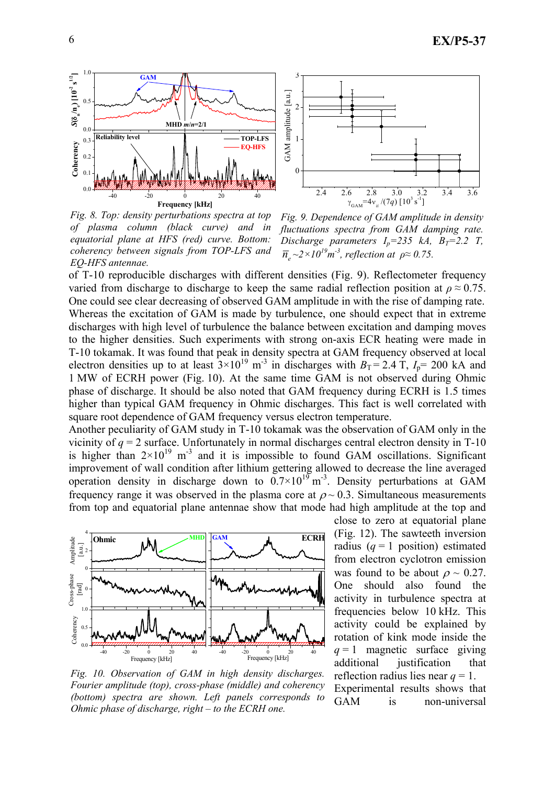

*Fig. 8. Top: density perturbations spectra at top of plasma column (black curve) and in equatorial plane at HFS (red) curve. Bottom: coherency between signals from TOP-LFS and EQ-HFS antennae.* 

*Fig. 9. Dependence of GAM amplitude in density fluctuations spectra from GAM damping rate. Discharge parameters*  $I_p = 235$  kA,  $B_T = 2.2$  T,  $\overline{n}_e \sim 2 \times 10^{19} m^{-3}$ , reflection at  $\rho \approx 0.75$ .

of T-10 reproducible discharges with different densities (Fig. 9). Reflectometer frequency varied from discharge to discharge to keep the same radial reflection position at  $\rho \approx 0.75$ . One could see clear decreasing of observed GAM amplitude in with the rise of damping rate. Whereas the excitation of GAM is made by turbulence, one should expect that in extreme discharges with high level of turbulence the balance between excitation and damping moves to the higher densities. Such experiments with strong on-axis ECR heating were made in T-10 tokamak. It was found that peak in density spectra at GAM frequency observed at local electron densities up to at least  $3\times10^{19}$  m<sup>-3</sup> in discharges with  $B_T = 2.4$  T,  $I_p = 200$  kA and 1 MW of ECRH power (Fig. 10). At the same time GAM is not observed during Ohmic phase of discharge. It should be also noted that GAM frequency during ECRH is 1.5 times higher than typical GAM frequency in Ohmic discharges. This fact is well correlated with square root dependence of GAM frequency versus electron temperature.

Another peculiarity of GAM study in T-10 tokamak was the observation of GAM only in the vicinity of  $q = 2$  surface. Unfortunately in normal discharges central electron density in T-10 is higher than  $2\times10^{19}$  m<sup>-3</sup> and it is impossible to found GAM oscillations. Significant improvement of wall condition after lithium gettering allowed to decrease the line averaged operation density in discharge down to  $0.7 \times 10^{19}$  m<sup>-3</sup>. Density perturbations at GAM frequency range it was observed in the plasma core at  $\rho \sim 0.3$ . Simultaneous measurements from top and equatorial plane antennae show that mode had high amplitude at the top and



*Fig. 10. Observation of GAM in high density discharges. Fourier amplitude (top), cross-phase (middle) and coherency (bottom) spectra are shown. Left panels corresponds to Ohmic phase of discharge, right – to the ECRH one.* 

close to zero at equatorial plane (Fig. 12). The sawteeth inversion radius  $(q = 1 \text{ position})$  estimated from electron cyclotron emission was found to be about  $\rho \sim 0.27$ . One should also found the activity in turbulence spectra at frequencies below 10 kHz. This activity could be explained by rotation of kink mode inside the  $q = 1$  magnetic surface giving additional justification that reflection radius lies near  $q = 1$ . Experimental results shows that GAM is non-universal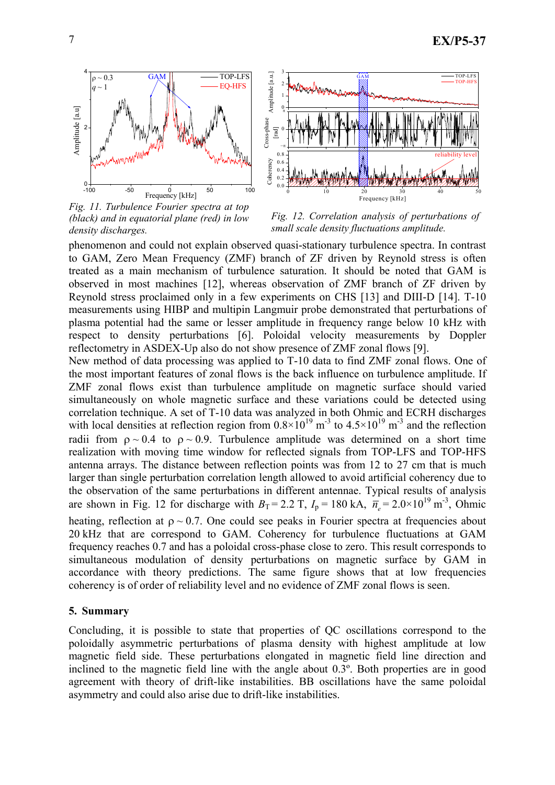

*Fig. 11. Turbulence Fourier spectra at top (black) and in equatorial plane (red) in low density discharges.* 

*Fig. 12. Correlation analysis of perturbations of small scale density fluctuations amplitude.* 

phenomenon and could not explain observed quasi-stationary turbulence spectra. In contrast to GAM, Zero Mean Frequency (ZMF) branch of ZF driven by Reynold stress is often treated as a main mechanism of turbulence saturation. It should be noted that GAM is observed in most machines [12], whereas observation of ZMF branch of ZF driven by Reynold stress proclaimed only in a few experiments on CHS [13] and DIII-D [14]. T-10 measurements using HIBP and multipin Langmuir probe demonstrated that perturbations of plasma potential had the same or lesser amplitude in frequency range below 10 kHz with respect to density perturbations [6]. Poloidal velocity measurements by Doppler reflectometry in ASDEX-Up also do not show presence of ZMF zonal flows [9].

New method of data processing was applied to T-10 data to find ZMF zonal flows. One of the most important features of zonal flows is the back influence on turbulence amplitude. If ZMF zonal flows exist than turbulence amplitude on magnetic surface should varied simultaneously on whole magnetic surface and these variations could be detected using correlation technique. A set of T-10 data was analyzed in both Ohmic and ECRH discharges with local densities at reflection region from  $0.8 \times 10^{19}$  m<sup>-3</sup> to  $4.5 \times 10^{19}$  m<sup>-3</sup> and the reflection radii from  $\rho \sim 0.4$  to  $\rho \sim 0.9$ . Turbulence amplitude was determined on a short time realization with moving time window for reflected signals from TOP-LFS and TOP-HFS antenna arrays. The distance between reflection points was from 12 to 27 cm that is much larger than single perturbation correlation length allowed to avoid artificial coherency due to the observation of the same perturbations in different antennae. Typical results of analysis are shown in Fig. 12 for discharge with  $B_T = 2.2$  T,  $I_p = 180$  kA,  $\overline{n}_e = 2.0 \times 10^{19}$  m<sup>-3</sup>, Ohmic heating, reflection at  $\rho \sim 0.7$ . One could see peaks in Fourier spectra at frequencies about 20 kHz that are correspond to GAM. Coherency for turbulence fluctuations at GAM frequency reaches 0.7 and has a poloidal cross-phase close to zero. This result corresponds to simultaneous modulation of density perturbations on magnetic surface by GAM in accordance with theory predictions. The same figure shows that at low frequencies coherency is of order of reliability level and no evidence of ZMF zonal flows is seen.

# **5. Summary**

Concluding, it is possible to state that properties of QC oscillations correspond to the poloidally asymmetric perturbations of plasma density with highest amplitude at low magnetic field side. These perturbations elongated in magnetic field line direction and inclined to the magnetic field line with the angle about 0.3º. Both properties are in good agreement with theory of drift-like instabilities. BB oscillations have the same poloidal asymmetry and could also arise due to drift-like instabilities.